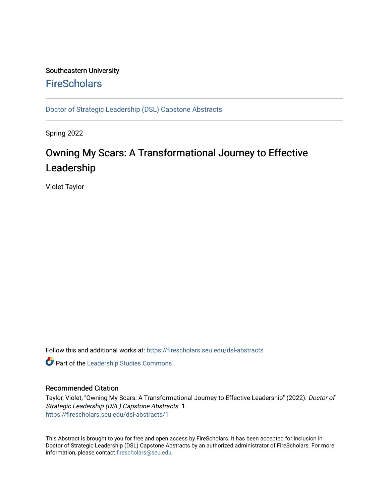## Southeastern University **FireScholars**

[Doctor of Strategic Leadership \(DSL\) Capstone Abstracts](https://firescholars.seu.edu/dsl-abstracts) 

Spring 2022

## Owning My Scars: A Transformational Journey to Effective Leadership

Violet Taylor

Follow this and additional works at: [https://firescholars.seu.edu/dsl-abstracts](https://firescholars.seu.edu/dsl-abstracts?utm_source=firescholars.seu.edu%2Fdsl-abstracts%2F1&utm_medium=PDF&utm_campaign=PDFCoverPages) 

**Part of the Leadership Studies Commons** 

## Recommended Citation

Taylor, Violet, "Owning My Scars: A Transformational Journey to Effective Leadership" (2022). Doctor of Strategic Leadership (DSL) Capstone Abstracts. 1. [https://firescholars.seu.edu/dsl-abstracts/1](https://firescholars.seu.edu/dsl-abstracts/1?utm_source=firescholars.seu.edu%2Fdsl-abstracts%2F1&utm_medium=PDF&utm_campaign=PDFCoverPages) 

This Abstract is brought to you for free and open access by FireScholars. It has been accepted for inclusion in Doctor of Strategic Leadership (DSL) Capstone Abstracts by an authorized administrator of FireScholars. For more information, please contact [firescholars@seu.edu](mailto:firescholars@seu.edu).